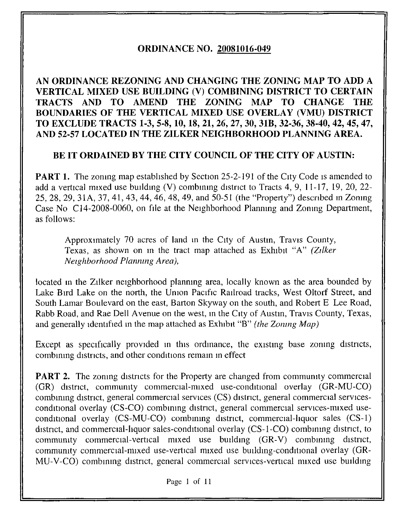# ORDINANCE NO. 20081016-049

# AN ORDINANCE REZONING AND CHANGING THE ZONING MAP TO ADD A VERTICAL MIXED USE BUILDING (V) COMBINING DISTRICT TO CERTAIN TRACTS AND TO AMEND THE ZONING MAP TO CHANGE THE BOUNDARIES OF THE VERTICAL MIXED USE OVERLAY (VMU) DISTRICT TO EXCLUDE TRACTS 1-3, 5-8,10,18, 21, 26, 27, 30, 31B, 32-36, 38-40, 42, 45, 47, AND 52-57 LOCATED IN THE ZILKER NEIGHBORHOOD PLANNING AREA.

## BE IT ORDAINED BY THE CITY COUNCIL OF THE CITY OF AUSTIN:

PART 1. The zoning map established by Section 25-2-191 of the City Code is amended to add a vertical mixed use building (V) combining district to Tracts 4, 9, 11-17, 19, 20, 22- 25, 28, 29, 31A, 37, 41, 43, 44, 46, 48, 49, and 50-51 (the "Property") described in Zoning Case No C14-2008-0060, on file at the Neighborhood Planning and Zoning Department, as follows:

Approximately 70 acres of land in the City of Austin, Travis County, Texas, as shown on in the tract map attached as Exhibit "A" (Zilker Neighborhood Planning Area),

located in the Zilker neighborhood planning area, locally known as the area bounded by Lake Bird Lake on the north, the Union Pacific Railroad tracks, West Oltorf Street, and South Lamar Boulevard on the east, Barton Skyway on the south, and Robert E Lee Road, Rabb Road, and Rae Dell Avenue on the west, in the City of Austin, Travis County, Texas, and generally identified in the map attached as Exhibit "B" (the Zoning Map)

Except as specifically provided in this ordinance, the existing base zoning districts, combining districts, and other conditions remain in effect

**PART 2.** The zoning districts for the Property are changed from community commercial (GR) district, community commercial-mixed use-conditional overlay (GR-MU-CO) combining district, general commercial services (CS) district, general commercial servicesconditional overlay (CS-CO) combining district, general commercial services-mixed useconditional overlay (CS-MU-CO) combining district, commercial-liquor sales (CS-1) district, and commercial-liquor sales-conditional overlay (CS-1-CO) combining district, to community commercial-vertical mixed use building (GR-V) combining district, community commercial-mixed use-vertical mixed use building-conditional overlay (GR-MU-V-CO) combining district, general commercial services-vertical mixed use building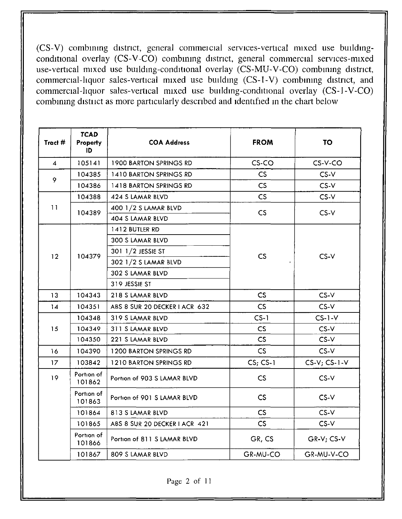( CS-V) combining district, general commeicial services-vertical mixed use buildingconditional overlay (CS-V-CO) combining district, general commercial services-mixed conditional overlay (CS-V-CO) combining district, general commercial services-mixed<br>use-vertical mixed use building-conditional overlay (CS-MU-V-CO) combining district, c :ommercial-liquor sales-vertical mixed use building (CS-l-V) combining district, and c :ommercial-liquor sales-vertical mixed use building-conditional overlay (CS-1-V-CO) c combining distuct as more particularly described and identified in the chart below

| Tract #        | <b>TCAD</b><br><b>Property</b><br>ID | <b>COA Address</b>            | <b>FROM</b>   | <b>TO</b>         |
|----------------|--------------------------------------|-------------------------------|---------------|-------------------|
| $\overline{4}$ | 105141                               | <b>1900 BARTON SPRINGS RD</b> | $CS$ -CO      | CS-V-CO           |
|                | 104385                               | 1410 BARTON SPRINGS RD        | CS            | $CS-V$            |
| 9              | 104386                               | 1418 BARTON SPRINGS RD        | CS            | $CS-V$            |
|                | 104388                               | 424 S LAMAR BLVD              | CS            | $CS-V$            |
| 11             | 104389                               | 400 1/2 S LAMAR BLVD          | CS            | CS-V              |
|                |                                      | 404 S LAMAR BLVD              |               |                   |
|                |                                      | 1412 BUTLER RD                |               | $CS-V$            |
|                |                                      | 300 S LAMAR BLVD              |               |                   |
| 12             | 104379                               | 301 1/2 JESSIE ST             |               |                   |
|                |                                      | 302 1/2 S LAMAR BLVD          | CS            |                   |
|                |                                      | 302 S LAMAR BLVD              |               |                   |
|                |                                      | 319 JESSIE ST                 |               |                   |
| 13             | 104343                               | 218 S LAMAR BLVD              | CS            | $CS-V$            |
| 14             | 104351                               | ABS 8 SUR 20 DECKER I ACR 632 | CS            | $CS-V$            |
|                | 104348                               | 319 S LAMAR BLVD              | $CS-1$        | $CS-1-V$          |
| 15             | 104349                               | 311 S LAMAR BLVD              | $\mathsf{CS}$ | $CS-V$            |
|                | 104350                               | 221 S LAMAR BLVD              | CS            | $CS-V$            |
| 16             | 104390                               | <b>1200 BARTON SPRINGS RD</b> | $\mathsf{CS}$ | $CS-V$            |
| 17             | 103842                               | 1210 BARTON SPRINGS RD        | $CS$ ; $CS-1$ | $CS-V$ ; $CS-1-V$ |
| 19             | Portion of<br>101862                 | Portion of 903 S LAMAR BLVD   | CS            | $CS-V$            |
|                | Portion of<br>101863                 | Portion of 901 S LAMAR BLVD   | CS            | $CS-V$            |
|                | 101864                               | 813 S LAMAR BLVD              | CS            | $CS-V$            |
|                | 101865                               | ABS 8 SUR 20 DECKER I ACR 421 | CS            | $CS-V$            |
|                | Portion of<br>101866                 | Portion of 811 S LAMAR BLVD   | GR, CS        | GR-V: CS-V        |
|                | 101867                               | 809 S LAMAR BLVD              | GR-MU-CO      | GR-MU-V-CO        |

Page 2 of 11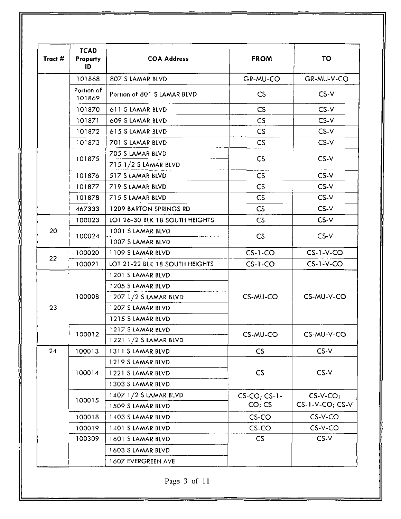| Tract # | <b>TCAD</b><br><b>Property</b><br>ID | <b>COA Address</b>                                                                                        | <b>FROM</b>               | <b>TO</b>                          |
|---------|--------------------------------------|-----------------------------------------------------------------------------------------------------------|---------------------------|------------------------------------|
|         | 101868                               | 807 S LAMAR BLVD                                                                                          | GR-MU-CO                  | GR-MU-V-CO                         |
|         | Portion of<br>101869                 | Portion of 801 S LAMAR BLVD                                                                               | $\mathsf{CS}\phantom{0}$  | $CS-V$                             |
|         | 101870                               | 611 S LAMAR BLVD                                                                                          | CS                        | $CS-V$                             |
|         | 101871                               | 609 S LAMAR BLVD                                                                                          | CS                        | CS-V                               |
|         | 101872                               | 615 S LAMAR BLVD                                                                                          | CS                        | $CS-V$                             |
|         | 101873                               | 701 S LAMAR BLVD                                                                                          | CS                        | $CS-V$                             |
|         | 101875                               | 705 S LAMAR BLVD<br>715 1/2 S LAMAR BLVD                                                                  | CS                        | $CS-V$                             |
|         | 101876                               | 517 S LAMAR BLVD                                                                                          | CS                        | $CS-V$                             |
|         | 101877                               | 719 S LAMAR BLVD                                                                                          | CS                        | $CS-V$                             |
|         | 101878                               | 715 S LAMAR BLVD                                                                                          | CS                        | $CS-V$                             |
|         | 467333                               | <b>1209 BARTON SPRINGS RD</b>                                                                             | CS                        | $CS-V$                             |
|         | 100023                               | LOT 26-30 BLK 18 SOUTH HEIGHTS                                                                            | CS                        | $CS-V$                             |
| 20      | 100024                               | 1001 S LAMAR BLVD<br>1007 S LAMAR BLVD                                                                    | <b>CS</b>                 | $CS-V$                             |
|         | 100020                               | 1109 S LAMAR BLVD                                                                                         | $CS-1-CO$                 | $CS-1-V-CO$                        |
| 22      | 100021                               | LOT 21-22 BLK 18 SOUTH HEIGHTS                                                                            | $CS-1-CO$                 | $CS-1-V-CO$                        |
| 23      | 100008                               | 1201 S LAMAR BLVD<br>1205 S LAMAR BLVD<br>1207 1/2 S LAMAR BLVD<br>1207 S LAMAR BLVD<br>1215 S LAMAR BLVD | CS-MU-CO                  | CS-MU-V-CO                         |
|         | 100012                               | 1217 S LAMAR BLVD<br>1221 1/2 S LAMAR BLVD                                                                | CS-MU-CO                  | CS-MU-V-CO                         |
| 24      | 100013                               | 1311 S LAMAR BLVD                                                                                         | CS                        | $CS-V$                             |
|         | 100014                               | 1219 S LAMAR BLVD<br>1221 S LAMAR BLVD<br>1303 S LAMAR BLVD                                               | $\mathsf{CS}\phantom{0}$  | $CS-V$                             |
|         | 100015                               | 1407 1/2 S LAMAR BLVD<br>1509 S LAMAR BLVD                                                                | $CS$ -CO; CS-1-<br>CO; CS | $CS-V-CO;$<br>$CS-1-V-CO$ ; $CS-V$ |
|         | 100018                               | 1403 S LAMAR BLVD                                                                                         | CS-CO                     | CS-V-CO                            |
|         | 100019                               | 1401 S LAMAR BLVD                                                                                         | CS-CO                     | $CS-V-CO$                          |
|         | 100309                               | 1601 S LAMAR BLVD<br>1603 S LAMAR BLVD                                                                    | CS                        | $CS-V$                             |
|         |                                      | 1607 EVERGREEN AVE                                                                                        |                           |                                    |

Page 3 of 11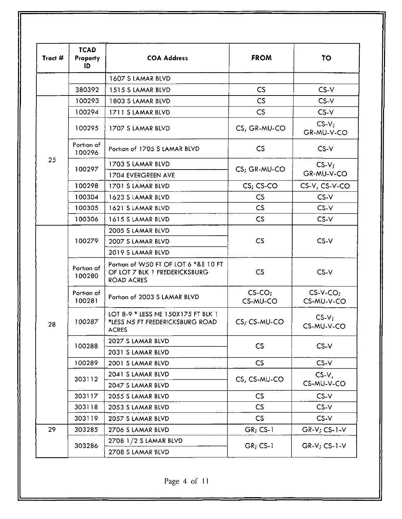| Tract # | <b>TCAD</b><br>Property<br>ID | <b>COA Address</b>                                                                         | <b>FROM</b>              | TO                        |
|---------|-------------------------------|--------------------------------------------------------------------------------------------|--------------------------|---------------------------|
|         |                               | 1607 S LAMAR BLVD                                                                          |                          |                           |
|         | 380392                        | 1515 S LAMAR BLVD                                                                          | CS                       | $CS-V$                    |
|         | 100293                        | 1803 S LAMAR BLVD                                                                          | CS                       | $CS-V$                    |
|         | 100294                        | 1711 S LAMAR BLVD                                                                          | CS                       | $CS-V$                    |
|         | 100295                        | 1707 S LAMAR BLVD                                                                          | CS, GR-MU-CO             | $CS-V;$<br>GR-MU-V-CO     |
|         | Portion of<br>100296          | Portion of 1705 S LAMAR BLVD                                                               | $\mathsf{CS}\phantom{0}$ | $CS-V$                    |
| 25      |                               | 1703 S LAMAR BLVD                                                                          |                          | $CS-V$                    |
|         | 100297                        | 1704 EVERGREEN AVE                                                                         | CS; GR-MU-CO             | GR-MU-V-CO                |
|         | 100298                        | 1701 S LAMAR BLVD                                                                          | $CS; CS-CO$              | CS-V, CS-V-CO             |
|         | 100304                        | 1623 S LAMAR BLVD                                                                          | <b>CS</b>                | $CS-V$                    |
|         | 100305                        | 1621 S LAMAR BLVD                                                                          | CS                       | $CS-V$                    |
|         | 100306                        | 1615 S LAMAR BLVD                                                                          | $\mathsf{CS}\phantom{0}$ | $CS-V$                    |
|         | 100279                        | 2005 S LAMAR BLVD                                                                          |                          |                           |
|         |                               | 2007 S LAMAR BLVD                                                                          | CS                       | $CS-V$                    |
|         |                               | 2019 S LAMAR BLVD                                                                          |                          |                           |
|         | Portion of<br>100280          | Portion of W50 FT OF LOT 6 *&E 10 FT<br>OF LOT 7 BLK 1 FREDERICKSBURG<br><b>ROAD ACRES</b> | CS                       | $CS-V$                    |
|         | Portion of<br>100281          | Portion of 2003 S LAMAR BLVD                                                               | $CS$ -CO;<br>CS-MU-CO    | $CS-V$ -CO;<br>CS-MU-V-CO |
| 28      | 100287                        | LOT 8-9 * LESS NE 150X175 FT BLK 1<br>*LESS N5 FT FREDERICKSBURG ROAD<br><b>ACRES</b>      | CS; CS-MU-CO             | $CS-V:$<br>CS-MU-V-CO     |
|         | 100288                        | 2027 S LAMAR BLVD                                                                          |                          |                           |
|         |                               | 2031 S LAMAR BLVD                                                                          | CS                       | $CS-V$                    |
|         | 100289                        | 2001 S LAMAR BLVD                                                                          | CS                       | $CS-V$                    |
|         | 303112                        | 2041 S LAMAR BLVD                                                                          |                          | $CS-V,$                   |
|         |                               | 2047 S LAMAR BLVD                                                                          | CS, CS-MU-CO             | CS-MU-V-CO                |
|         | 303117                        | 2055 S LAMAR BLVD                                                                          | CS                       | $CS-V$                    |
|         | 303118                        | 2053 S LAMAR BLVD                                                                          | $\mathsf{CS}$            | $CS-V$                    |
|         | 303119                        | 2057 S LAMAR BLVD                                                                          | $\mathsf{CS}$            | $CS-V$                    |
| 29      | 303285                        | 2706 S LAMAR BLVD                                                                          | $GR; CS-1$               | $GR-V$ ; $CS-1-V$         |
|         | 303286                        | 2708 1/2 S LAMAR BLVD<br>2708 S LAMAR BLVD                                                 | $GR; CS-1$               | $GR-V$ ; $CS-1-V$         |

Page 4 of 11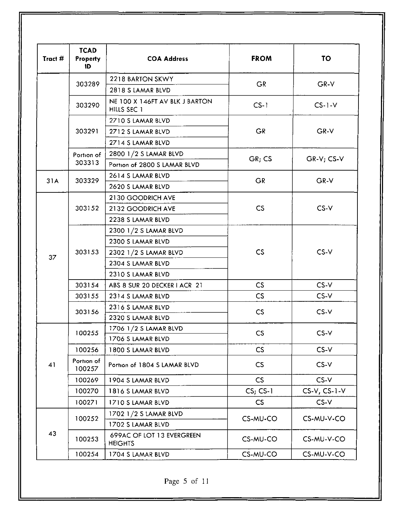| Tract # | <b>TCAD</b><br><b>Property</b><br><b>COA Address</b><br>ID |                                               | <b>FROM</b>   | <b>TO</b>      |
|---------|------------------------------------------------------------|-----------------------------------------------|---------------|----------------|
|         |                                                            | 2218 BARTON SKWY                              |               |                |
|         | 303289                                                     | 2818 S LAMAR BLVD                             | <b>GR</b>     | GR-V           |
|         | 303290                                                     | NE 100 X 146FT AV BLK J BARTON<br>HILLS SEC 1 | $CS-1$        | $CS-1-V$       |
|         |                                                            | 2710 S LAMAR BLVD                             |               |                |
|         | 303291                                                     | 2712 S LAMAR BLVD                             | <b>GR</b>     | GR-V           |
|         |                                                            | 2714 S LAMAR BLVD                             |               |                |
|         | Portion of                                                 | 2800 1/2 S LAMAR BLVD                         |               |                |
|         | 303313                                                     | Portion of 2800 S LAMAR BLVD                  | GR; CS        | $GR-V; CS-V$   |
|         |                                                            | 2614 S LAMAR BLVD                             |               |                |
| 31A     | 303329                                                     | 2620 S LAMAR BLVD                             | <b>GR</b>     | GR-V           |
|         |                                                            | 2130 GOODRICH AVE                             |               |                |
|         | 303152                                                     | 2132 GOODRICH AVE                             | CS            | $CS-V$         |
|         |                                                            | 2238 S LAMAR BLVD                             |               |                |
|         |                                                            | 2300 1/2 S LAMAR BLVD                         |               | CS-V           |
|         |                                                            | 2300 S LAMAR BLVD                             |               |                |
|         | 303153                                                     | 2302 1/2 S LAMAR BLVD                         | CS            |                |
| 37      |                                                            | 2304 S LAMAR BLVD                             |               |                |
|         |                                                            | 2310 S LAMAR BLVD                             |               |                |
|         | 303154                                                     | ABS 8 SUR 20 DECKER I ACR 21                  | CS            | $CS-V$         |
|         | 303155                                                     | 2314 S LAMAR BLVD                             | $\mathsf{CS}$ | CS-V           |
|         |                                                            | 2316 S LAMAR BLVD                             |               | $CS-V$         |
|         | 303156                                                     | 2320 S LAMAR BLVD                             | CS            |                |
|         | 100255                                                     | 1706 1/2 S LAMAR BLVD                         |               | $CS-V$         |
|         |                                                            | 1706 S LAMAR BLVD                             | <b>CS</b>     |                |
|         | 100256                                                     | 1800 S LAMAR BLVD                             | CS            | $CS-V$         |
| 41      | Portion of<br>100257                                       | Portion of 1804 S LAMAR BLVD                  | CS            | $CS-V$         |
|         | 100269                                                     | 1904 S LAMAR BLVD                             | CS            | $CS-V$         |
|         | 100270                                                     | 1816 S LAMAR BLVD                             | $CS; CS-1$    | $CS-V, CS-1-V$ |
|         | 100271                                                     | 1710 S LAMAR BLVD                             | CS            | $CS-V$         |
|         |                                                            | 1702 1/2 S LAMAR BLVD                         |               |                |
|         | 100252                                                     | 1702 S LAMAR BLVD                             | CS-MU-CO      | CS-MU-V-CO     |
| 43      | 100253                                                     | 699AC OF LOT 13 EVERGREEN<br><b>HEIGHTS</b>   | CS-MU-CO      | CS-MU-V-CO     |
|         | 100254                                                     | 1704 S LAMAR BLVD                             | CS-MU-CO      | CS-MU-V-CO     |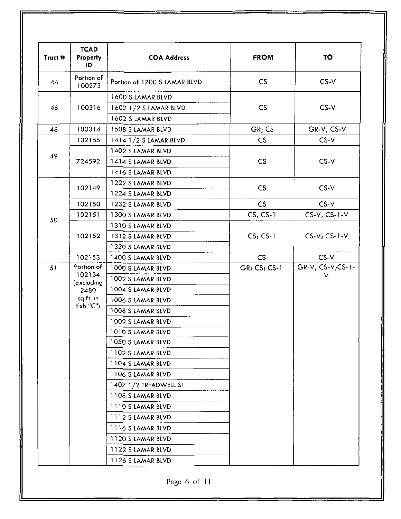| Tract # | <b>TCAD</b><br><b>Property</b><br>ID       | <b>COA Address</b>           | <b>FROM</b>  | <b>TO</b>         |  |
|---------|--------------------------------------------|------------------------------|--------------|-------------------|--|
| 44      | Portion of<br>100273                       | Portion of 1700 S LAMAR BLVD | CS           | $CS-V$            |  |
|         |                                            | 1600 S LAMAR BLVD            |              |                   |  |
| 46      | 100316                                     | 1602 1/2 S LAMAR BLVD        | CS           | $CS-V$            |  |
|         |                                            | 1602 S LAMAR BLVD            |              |                   |  |
| 48      | 100314                                     | 1508 S LAMAR BLVD            | GR; CS       | GR-V, CS-V        |  |
|         | 102155                                     | 1414 1/2 S LAMAR BLVD        | CS           | $CS-V$            |  |
|         |                                            | 1402 S LAMAR BLVD            |              |                   |  |
| 49      | 724592                                     | 1414 S LAMAR BLVD            | CS           | $CS-V$            |  |
|         |                                            | 1416 S LAMAR BLVD            |              |                   |  |
|         |                                            | 1222 S LAMAR BLVD            |              |                   |  |
|         | 102149                                     | 1224 S LAMAR BLVD            | CS           | $CS-V$            |  |
|         | 102150                                     | 1232 S LAMAR BLVD            | CS           | $CS-V$            |  |
|         | 102151                                     | 1300 S LAMAR BLVD            | $CS, CS-1$   | $CS-V, CS-1-V$    |  |
| 50      |                                            | 1310 S LAMAR BLVD            |              | $CS-V$ ; $CS-1-V$ |  |
|         | 102152                                     | 1312 S LAMAR BLVD            | $CS$ ; CS-1  |                   |  |
|         |                                            | 1320 S LAMAR BLVD            |              |                   |  |
|         | 102153                                     | 1400 S LAMAR BLVD            | CS           | $CS-V$            |  |
| 51      | Portion of                                 | 1000 S LAMAR BLVD            | GR; CS; CS-1 | GR-V, CS-V;CS-1-  |  |
|         | 102134                                     | 1002 S LAMAR BLVD            |              | v                 |  |
|         | (excluding<br>2480<br>sq ft in<br>Exh''C'' | 1004 S LAMAR BLVD            |              |                   |  |
|         |                                            | 1006 S LAMAR BLVD            |              |                   |  |
|         |                                            | 1008 S LAMAR BLVD            |              |                   |  |
|         |                                            | 1009 S LAMAR BLVD            |              |                   |  |
|         |                                            | 1010 S LAMAR BLVD            |              |                   |  |
|         |                                            | 1050 S LAMAR BLVD            |              |                   |  |
|         |                                            | 1102 S LAMAR BLVD            |              |                   |  |
|         |                                            | 1104 S LAMAR BLVD            |              |                   |  |
|         |                                            | 1106 S LAMAR BLVD            |              |                   |  |
|         |                                            | 1407 1/2 TREADWELL ST        |              |                   |  |
|         |                                            | 1108 S LAMAR BLVD            |              |                   |  |
|         |                                            | 1110 S LAMAR BLVD            |              |                   |  |
|         |                                            | 1112 S LAMAR BLVD            |              |                   |  |
|         |                                            | 1116 S LAMAR BLVD            |              |                   |  |
|         |                                            | 1120 S LAMAR BLVD            |              |                   |  |
|         |                                            | 1122 S LAMAR BLVD            |              |                   |  |
|         |                                            | 1126 S LAMAR BLVD            |              |                   |  |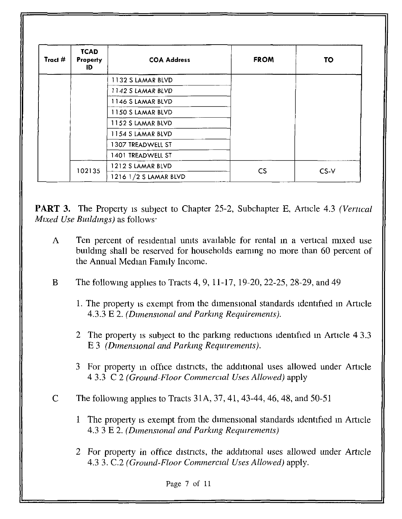| Tract # | <b>TCAD</b><br>Property<br>ID | <b>COA Address</b>       | <b>FROM</b>              | TO     |
|---------|-------------------------------|--------------------------|--------------------------|--------|
|         |                               | <b>1132 S LAMAR BLVD</b> |                          |        |
|         |                               | 1142 S LAMAR BLVD        |                          |        |
|         |                               | 1146 S LAMAR BLVD        |                          |        |
|         |                               | 1150 S LAMAR BLVD        |                          |        |
|         |                               | 1152 S LAMAR BLVD        |                          |        |
|         |                               | 1154 S LAMAR BLVD        |                          |        |
|         |                               | 1307 TREADWELL ST        |                          |        |
|         |                               | 1401 TREADWELL ST        |                          |        |
|         | 102135                        | 1212 S LAMAR BLVD        | $\mathsf{CS}\phantom{0}$ |        |
|         |                               | 1216 1/2 S LAMAR BLVD    |                          | $CS-V$ |

**PART 3.** The Property is subject to Chapter 25-2, Subchapter E, Article 4.3 (Vertical  $Mixed$  Use Buildings) as follows:

- A Ten percent of residential units available for rental in a vertical mixed use building shall be reserved for households earning no more than 60 percent of the Annual Median Family Income.
- B The following applies to Tracts 4, 9, 11-17, 19-20, 22-25, 28-29, and 49
	- 1. The property is exempt from the dimensional standards identified in Article 4.3.3 E 2. (Dimensional and Parking Requirements),
	- 2 The property is subject to the parking reductions identified in Article 4 3.3 E 3 (Dimensional and Parking Requirements).
	- 3 For property in office districts, the additional uses allowed under Article 4 3.3 C 2 (Ground-Floor Commercial Uses Allowed) apply
- C The following applies to Tracts 31A, 37, 41, 43-44, 46, 48, and 50-51
	- 1 The property is exempt from the dimensional standards identified in Article 4.3 3 E 2. (Dimensional and Parking Requirements)
	- 2 For property in office districts, the additional uses allowed under Article 4.3 3. C.2 (Ground-Floor Commercial Uses Allowed) apply.

Page 7 of 11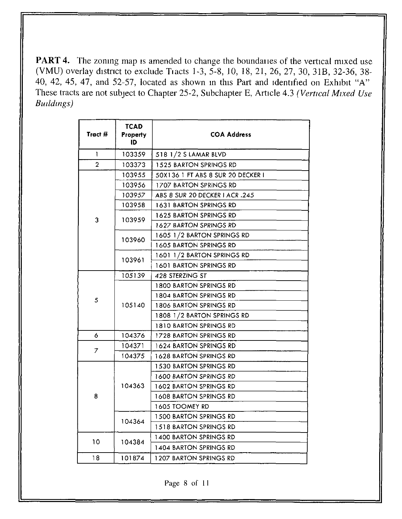PART 4. The zoning map is amended to change the boundaiies of the vertical mixed use (VMU) overlay district to exclude Tiacts 1-3, 5-8, 10, 18, 21, 26, 27, 30, 31B, 32-36, 38-40, 42, 45, 47, and 52-57, located as shown in this Part and identified on Exhibit "A" These tracts are not subject to Chapter 25-2, Subchapter E, Article 4.3 (Vertical Mixed Use Buildings)

'•"

| Tract #        | <b>TCAD</b><br>Property<br>ID | <b>COA Address</b>                |
|----------------|-------------------------------|-----------------------------------|
| T              | 103359                        | 518 1/2 S LAMAR BLVD              |
| $\overline{2}$ | 103373                        | 1525 BARTON SPRINGS RD            |
|                | 103955                        | 50X136 1 FT ABS 8 SUR 20 DECKER I |
|                | 103956                        | 1707 BARTON SPRINGS RD            |
|                | 103957                        | ABS 8 SUR 20 DECKER I ACR .245    |
|                | 103958                        | 1631 BARTON SPRINGS RD            |
| 3              | 103959                        | 1625 BARTON SPRINGS RD            |
|                |                               | <b>1627 BARTON SPRINGS RD</b>     |
|                | 103960                        | 1605 1/2 BARTON SPRINGS RD        |
|                |                               | <b>1605 BARTON SPRINGS RD</b>     |
|                |                               | 1601 1/2 BARTON SPRINGS RD        |
|                | 103961                        | 1601 BARTON SPRINGS RD            |
|                | 105139                        | 428 STERZING ST                   |
|                |                               | <b>1800 BARTON SPRINGS RD</b>     |
| 5              |                               | 1804 BARTON SPRINGS RD            |
|                | 105140                        | 1806 BARTON SPRINGS RD            |
|                |                               | 1808 1/2 BARTON SPRINGS RD        |
|                |                               | 1810 BARTON SPRINGS RD            |
| 6              | 104376                        | 1728 BARTON SPRINGS RD            |
| 7              | 104371                        | 1624 BARTON SPRINGS RD            |
|                | 104375                        | 1628 BARTON SPRINGS RD            |
|                |                               | <b>1530 BARTON SPRINGS RD</b>     |
|                |                               | 1600 BARTON SPRINGS RD            |
|                | 104363                        | 1602 BARTON SPRINGS RD            |
| 8              |                               | <b>1608 BARTON SPRINGS RD</b>     |
|                |                               | 1605 TOOMEY RD                    |
|                |                               | <b>1500 BARTON SPRINGS RD</b>     |
|                | 104364                        | 1518 BARTON SPRINGS RD            |
| 10             |                               | 1400 BARTON SPRINGS RD            |
|                | 104384                        | 1404 BARTON SPRINGS RD            |
| 18             | 101874                        | 1207 BARTON SPRINGS RD            |

Page 8 of 11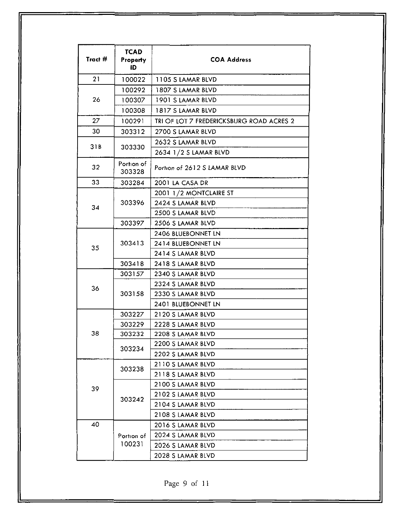| Tract $#$ | <b>TCAD</b><br>Property<br>ID | <b>COA Address</b>                       |
|-----------|-------------------------------|------------------------------------------|
| 21        | 100022                        | 1105 S LAMAR BLVD                        |
|           | 100292                        | 1807 S LAMAR BLVD                        |
| 26        | 100307                        | 1901 S LAMAR BLVD                        |
|           | 100308                        | 1817 S LAMAR BLVD                        |
| 27        | 100291                        | TRI OF LOT 7 FREDERICKSBURG ROAD ACRES 2 |
| 30        | 303312                        | 2700 S LAMAR BLVD                        |
|           |                               | 2632 S LAMAR BLVD                        |
| 31B       | 303330                        | 2634 1/2 S LAMAR BLVD                    |
| 32        | Portion of<br>303328          | Portion of 2612 S LAMAR BLVD             |
| 33        | 303284                        | 2001 LA CASA DR                          |
|           |                               | 2001 1/2 MONTCLAIRE ST                   |
| 34        | 303396                        | 2424 S LAMAR BLVD                        |
|           |                               | 2500 S LAMAR BLVD                        |
|           | 303397                        | 2506 S LAMAR BLVD                        |
|           | 303413                        | 2406 BLUEBONNET LN                       |
| 35        |                               | 2414 BLUEBONNET LN                       |
|           |                               | 2414 S LAMAR BLVD                        |
|           | 303418                        | 2418 S LAMAR BLVD                        |
|           | 303157                        | 2340 S LAMAR BLVD                        |
| 36        |                               | 2324 S LAMAR BLVD                        |
|           | 303158                        | 2330 S LAMAR BLVD                        |
|           |                               | 2401 BLUEBONNET LN                       |
|           | 303227                        | 2120 S LAMAR BLVD                        |
|           | 303229                        | 2228 S LAMAR BLVD                        |
| 38        | 303232                        | 2208 S LAMAR BLVD                        |
|           | 303234                        | 2200 S LAMAR BLVD                        |
|           |                               | 2202 S LAMAR BLVD                        |
|           | 303238                        | 2110 S LAMAR BLVD                        |
|           |                               | 2118 S LAMAR BLVD                        |
| 39        |                               | 2100 S LAMAR BLVD                        |
|           | 303242                        | 2102 S LAMAR BLVD                        |
|           |                               | 2104 S LAMAR BLVD                        |
| 40        |                               | 2108 S LAMAR BLVD                        |
|           |                               | 2016 S LAMAR BLVD                        |
|           | Portion of<br>100231          | 2024 S LAMAR BLVD                        |
|           |                               | 2026 S LAMAR BLVD                        |
|           |                               | 2028 S LAMAR BLVD                        |

Page 9 of 11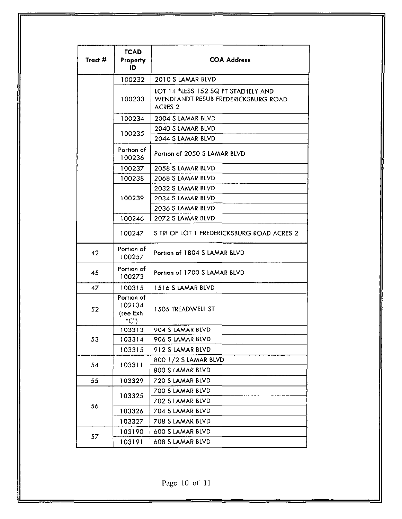| Tract # | <b>TCAD</b><br>Property<br>ID           | <b>COA Address</b>                                                                           |
|---------|-----------------------------------------|----------------------------------------------------------------------------------------------|
|         | 100232                                  | 2010 S LAMAR BLVD                                                                            |
|         | 100233                                  | LOT 14 *LESS 152 SQ FT STAEHELY AND<br>WENDLANDT RESUB FREDERICKSBURG ROAD<br><b>ACRES 2</b> |
|         | 100234                                  | 2004 S LAMAR BLVD                                                                            |
|         | 100235                                  | 2040 S LAMAR BLVD                                                                            |
|         |                                         | 2044 S LAMAR BLVD                                                                            |
|         | Portion of<br>100236                    | Portion of 2050 S LAMAR BLVD                                                                 |
|         | 100237                                  | 2058 S LAMAR BLVD                                                                            |
|         | 100238                                  | 2068 S LAMAR BLVD                                                                            |
|         |                                         | 2032 S LAMAR BLVD                                                                            |
|         | 100239                                  | 2034 S LAMAR BLVD                                                                            |
|         |                                         | 2036 S LAMAR BLVD                                                                            |
|         | 100246                                  | 2072 S LAMAR BLVD                                                                            |
|         | 100247                                  | S TRI OF LOT 1 FREDERICKSBURG ROAD ACRES 2                                                   |
| 42      | Portion of<br>100257                    | Portion of 1804 S LAMAR BLVD                                                                 |
| 45      | Portion of<br>100273                    | Portion of 1700 S LAMAR BLVD                                                                 |
| 47      | 100315                                  | 1516 S LAMAR BLVD                                                                            |
| 52      | Portion of<br>102134<br>(see Exh<br>"C" | 1505 TREADWELL ST                                                                            |
|         | 103313                                  | 904 S LAMAR BLVD                                                                             |
| 53      | 103314                                  | 906 S LAMAR BLVD                                                                             |
|         | 103315                                  | 912 S LAMAR BLVD                                                                             |
| 54      | 103311                                  | 800 1/2 S LAMAR BLVD                                                                         |
|         |                                         | 800 S LAMAR BLVD                                                                             |
| 55      | 103329                                  | 720 S LAMAR BLVD                                                                             |
|         | 103325                                  | 700 S LAMAR BLVD                                                                             |
| 56      |                                         | 702 S LAMAR BLVD                                                                             |
|         | 103326                                  | 704 S LAMAR BLVD                                                                             |
|         | 103327                                  | 708 S LAMAR BLVD                                                                             |
| 57      | 103190                                  | 600 S LAMAR BLVD                                                                             |
|         | 103191                                  | 608 S LAMAR BLVD                                                                             |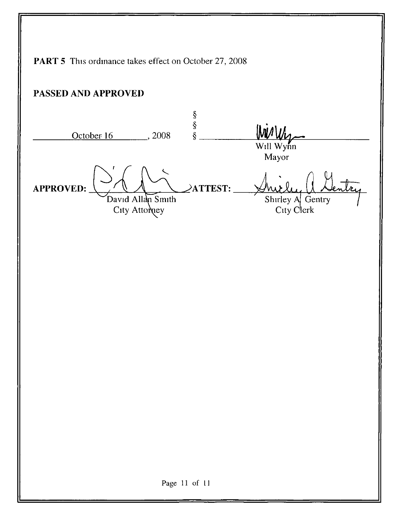PART 5 This ordinance takes effect on October 27, 2008 PASSED AND APPROVED  $\frac{\S}{\S}$ WirWis  $\S$ . October 16 . 2008 Will Wynn Mayor APPROVED:  $\angle$ ATTEST: David Allan Smith Shirley A^ Gentry City Attorney City Clerk Page 11 of 11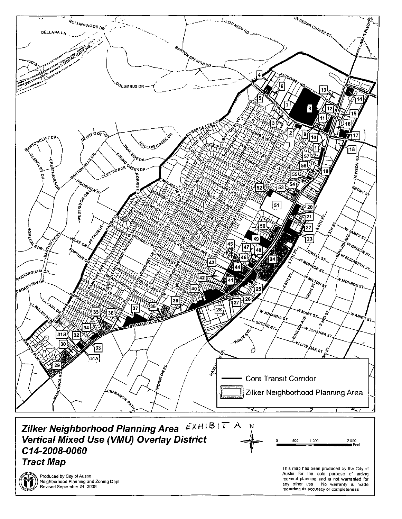

Neighborhood Planning and Zoning Dept Revised September 24 2008

regional planning and is not warranted for<br>any other use No warranty is made No warranty is made regarding its accuracy or completeness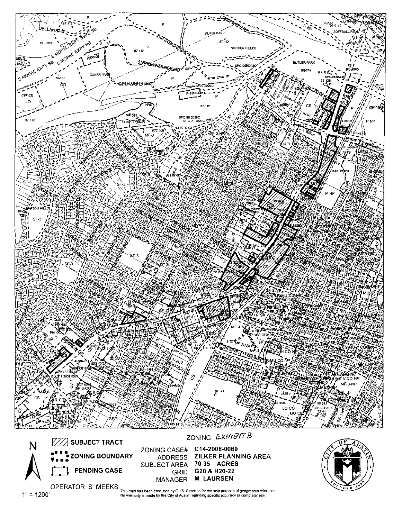

OPERATOR S MEEKS This map has been produced by G I S Services far trie sole purpose of geographic reference No warranty is made by the City of Austin regarding specific accuracy or completeness

1"= 1200'